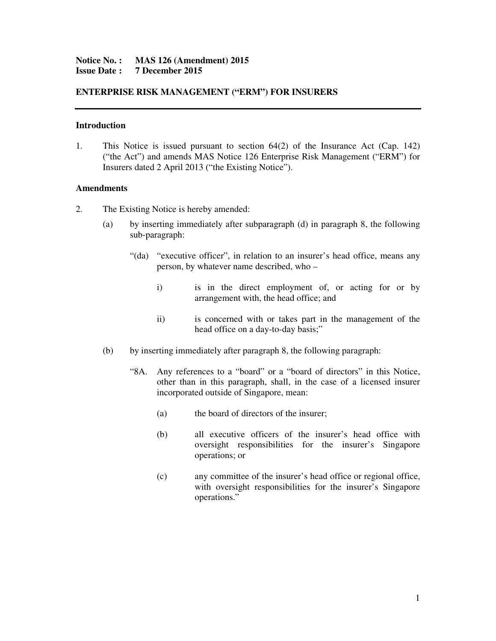#### **Notice No. : MAS 126 (Amendment) 2015 Issue Date : 7 December 2015**

### **ENTERPRISE RISK MANAGEMENT ("ERM") FOR INSURERS**

# **Introduction**

1. This Notice is issued pursuant to section 64(2) of the Insurance Act (Cap. 142) ("the Act") and amends MAS Notice 126 Enterprise Risk Management ("ERM") for Insurers dated 2 April 2013 ("the Existing Notice").

#### **Amendments**

- 2. The Existing Notice is hereby amended:
	- (a) by inserting immediately after subparagraph (d) in paragraph 8, the following sub-paragraph:
		- "(da) "executive officer", in relation to an insurer's head office, means any person, by whatever name described, who –
			- i) is in the direct employment of, or acting for or by arrangement with, the head office; and
			- ii) is concerned with or takes part in the management of the head office on a day-to-day basis;"
	- (b) by inserting immediately after paragraph 8, the following paragraph:
		- "8A. Any references to a "board" or a "board of directors" in this Notice, other than in this paragraph, shall, in the case of a licensed insurer incorporated outside of Singapore, mean:
			- (a) the board of directors of the insurer;
			- (b) all executive officers of the insurer's head office with oversight responsibilities for the insurer's Singapore operations; or
			- (c) any committee of the insurer's head office or regional office, with oversight responsibilities for the insurer's Singapore operations."